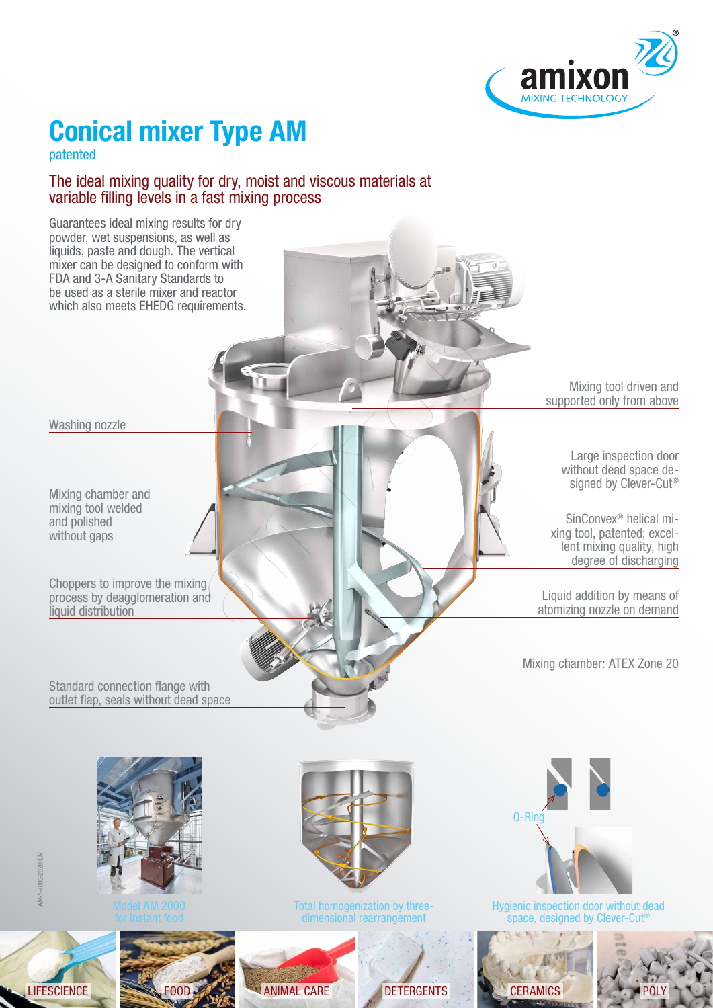

# **Conical mixer Type AM**

patented

#### The ideal mixing quality for dry, moist and viscous materials at variable filling levels in a fast mixing process



LIFESCIENCE FOOD ANIMAL CARE DETERGENTS CERAMICS CERAMICS POLY